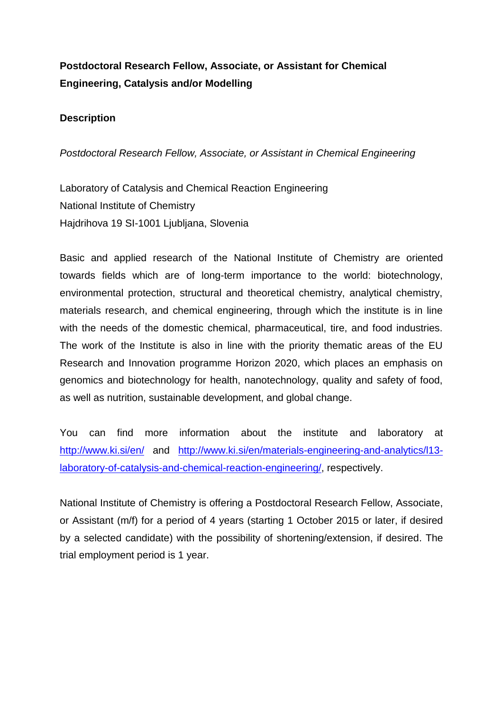# **Postdoctoral Research Fellow, Associate, or Assistant for Chemical Engineering, Catalysis and/or Modelling**

### **Description**

*Postdoctoral Research Fellow, Associate, or Assistant in Chemical Engineering*

Laboratory of Catalysis and Chemical Reaction Engineering National Institute of Chemistry Hajdrihova 19 SI-1001 Ljubljana, Slovenia

Basic and applied research of the National Institute of Chemistry are oriented towards fields which are of long-term importance to the world: biotechnology, environmental protection, structural and theoretical chemistry, analytical chemistry, materials research, and chemical engineering, through which the institute is in line with the needs of the domestic chemical, pharmaceutical, tire, and food industries. The work of the Institute is also in line with the priority thematic areas of the EU Research and Innovation programme Horizon 2020, which places an emphasis on genomics and biotechnology for health, nanotechnology, quality and safety of food, as well as nutrition, sustainable development, and global change.

You can find more information about the institute and laboratory at <http://www.ki.si/en/> and [http://www.ki.si/en/materials-engineering-and-analytics/l13](http://www.ki.si/en/materials-engineering-and-analytics/l13-laboratory-of-catalysis-and-chemical-reaction-engineering/) [laboratory-of-catalysis-and-chemical-reaction-engineering/,](http://www.ki.si/en/materials-engineering-and-analytics/l13-laboratory-of-catalysis-and-chemical-reaction-engineering/) respectively.

National Institute of Chemistry is offering a Postdoctoral Research Fellow, Associate, or Assistant (m/f) for a period of 4 years (starting 1 October 2015 or later, if desired by a selected candidate) with the possibility of shortening/extension, if desired. The trial employment period is 1 year.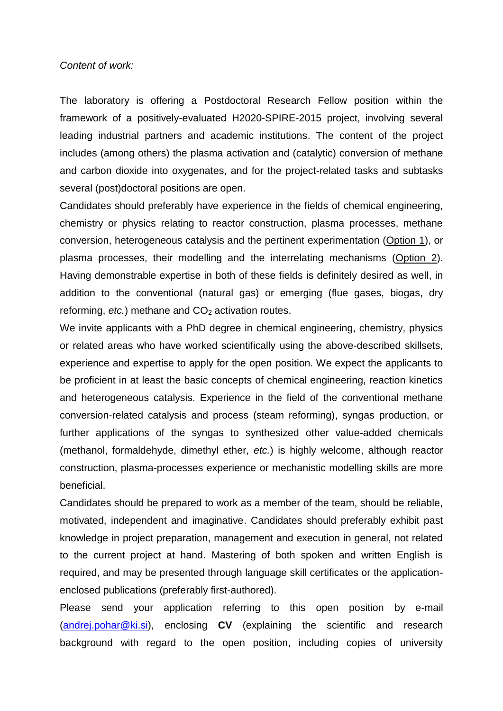#### *Content of work:*

The laboratory is offering a Postdoctoral Research Fellow position within the framework of a positively-evaluated H2020-SPIRE-2015 project, involving several leading industrial partners and academic institutions. The content of the project includes (among others) the plasma activation and (catalytic) conversion of methane and carbon dioxide into oxygenates, and for the project-related tasks and subtasks several (post)doctoral positions are open.

Candidates should preferably have experience in the fields of chemical engineering, chemistry or physics relating to reactor construction, plasma processes, methane conversion, heterogeneous catalysis and the pertinent experimentation (Option 1), or plasma processes, their modelling and the interrelating mechanisms (Option 2). Having demonstrable expertise in both of these fields is definitely desired as well, in addition to the conventional (natural gas) or emerging (flue gases, biogas, dry reforming, *etc.*) methane and CO<sub>2</sub> activation routes.

We invite applicants with a PhD degree in chemical engineering, chemistry, physics or related areas who have worked scientifically using the above-described skillsets, experience and expertise to apply for the open position. We expect the applicants to be proficient in at least the basic concepts of chemical engineering, reaction kinetics and heterogeneous catalysis. Experience in the field of the conventional methane conversion-related catalysis and process (steam reforming), syngas production, or further applications of the syngas to synthesized other value-added chemicals (methanol, formaldehyde, dimethyl ether, *etc.*) is highly welcome, although reactor construction, plasma-processes experience or mechanistic modelling skills are more beneficial.

Candidates should be prepared to work as a member of the team, should be reliable, motivated, independent and imaginative. Candidates should preferably exhibit past knowledge in project preparation, management and execution in general, not related to the current project at hand. Mastering of both spoken and written English is required, and may be presented through language skill certificates or the applicationenclosed publications (preferably first-authored).

Please send your application referring to this open position by e-mail [\(andrej.pohar@ki.si\)](mailto:blaz.likozar@ki.si), enclosing **CV** (explaining the scientific and research background with regard to the open position, including copies of university